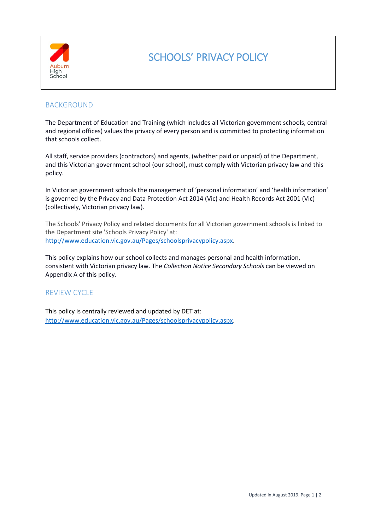

# SCHOOLS' PRIVACY POLICY

## BACKGROUND

The Department of Education and Training (which includes all Victorian government schools, central and regional offices) values the privacy of every person and is committed to protecting information that schools collect.

All staff, service providers (contractors) and agents, (whether paid or unpaid) of the Department, and this Victorian government school (our school), must comply with Victorian privacy law and this policy.

In Victorian government schools the management of 'personal information' and 'health information' is governed by the Privacy and Data Protection Act 2014 (Vic) and Health Records Act 2001 (Vic) (collectively, Victorian privacy law).

The Schools' Privacy Policy and related documents for all Victorian government schools is linked to the Department site 'Schools Privacy Policy' at: [http://www.education.vic.gov.au/Pages/schoolsprivacypolicy.aspx.](http://www.education.vic.gov.au/Pages/schoolsprivacypolicy.aspx)

This policy explains how our school collects and manages personal and health information, consistent with Victorian privacy law. The *Collection Notice Secondary Schools* can be viewed on Appendix A of this policy.

### REVIEW CYCLE

This policy is centrally reviewed and updated by DET at: [http://www.education.vic.gov.au/Pages/schoolsprivacypolicy.aspx.](http://www.education.vic.gov.au/Pages/schoolsprivacypolicy.aspx)